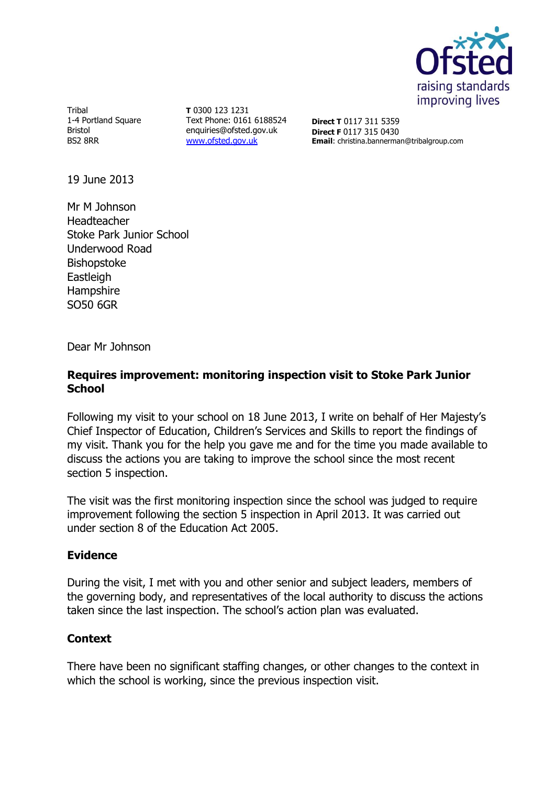

Tribal 1-4 Portland Square Bristol BS2 8RR

**T** 0300 123 1231 Text Phone: 0161 6188524 enquiries@ofsted.gov.uk [www.ofsted.gov.uk](http://www.ofsted.gov.uk/)

**Direct T** 0117 311 5359 **Direct F** 0117 315 0430 **Email**: christina.bannerman@tribalgroup.com

19 June 2013

Mr M Johnson Headteacher Stoke Park Junior School Underwood Road Bishopstoke **Eastleigh Hampshire** SO50 6GR

Dear Mr Johnson

### **Requires improvement: monitoring inspection visit to Stoke Park Junior School**

Following my visit to your school on 18 June 2013, I write on behalf of Her Majesty's Chief Inspector of Education, Children's Services and Skills to report the findings of my visit. Thank you for the help you gave me and for the time you made available to discuss the actions you are taking to improve the school since the most recent section 5 inspection.

The visit was the first monitoring inspection since the school was judged to require improvement following the section 5 inspection in April 2013. It was carried out under section 8 of the Education Act 2005.

### **Evidence**

During the visit, I met with you and other senior and subject leaders, members of the governing body, and representatives of the local authority to discuss the actions taken since the last inspection. The school's action plan was evaluated.

### **Context**

There have been no significant staffing changes, or other changes to the context in which the school is working, since the previous inspection visit.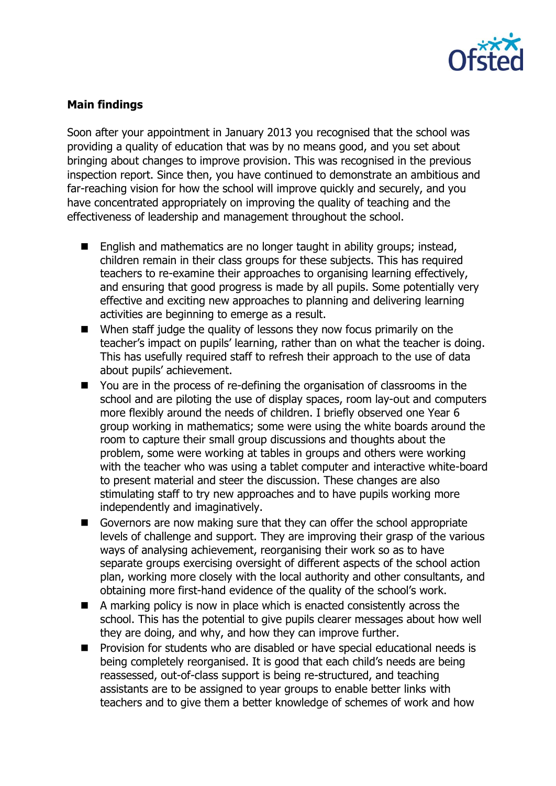

## **Main findings**

Soon after your appointment in January 2013 you recognised that the school was providing a quality of education that was by no means good, and you set about bringing about changes to improve provision. This was recognised in the previous inspection report. Since then, you have continued to demonstrate an ambitious and far-reaching vision for how the school will improve quickly and securely, and you have concentrated appropriately on improving the quality of teaching and the effectiveness of leadership and management throughout the school.

- English and mathematics are no longer taught in ability groups; instead, children remain in their class groups for these subjects. This has required teachers to re-examine their approaches to organising learning effectively, and ensuring that good progress is made by all pupils. Some potentially very effective and exciting new approaches to planning and delivering learning activities are beginning to emerge as a result.
- $\blacksquare$  When staff judge the quality of lessons they now focus primarily on the teacher's impact on pupils' learning, rather than on what the teacher is doing. This has usefully required staff to refresh their approach to the use of data about pupils' achievement.
- You are in the process of re-defining the organisation of classrooms in the school and are piloting the use of display spaces, room lay-out and computers more flexibly around the needs of children. I briefly observed one Year 6 group working in mathematics; some were using the white boards around the room to capture their small group discussions and thoughts about the problem, some were working at tables in groups and others were working with the teacher who was using a tablet computer and interactive white-board to present material and steer the discussion. These changes are also stimulating staff to try new approaches and to have pupils working more independently and imaginatively.
- Governors are now making sure that they can offer the school appropriate levels of challenge and support. They are improving their grasp of the various ways of analysing achievement, reorganising their work so as to have separate groups exercising oversight of different aspects of the school action plan, working more closely with the local authority and other consultants, and obtaining more first-hand evidence of the quality of the school's work.
- A marking policy is now in place which is enacted consistently across the school. This has the potential to give pupils clearer messages about how well they are doing, and why, and how they can improve further.
- **Provision for students who are disabled or have special educational needs is** being completely reorganised. It is good that each child's needs are being reassessed, out-of-class support is being re-structured, and teaching assistants are to be assigned to year groups to enable better links with teachers and to give them a better knowledge of schemes of work and how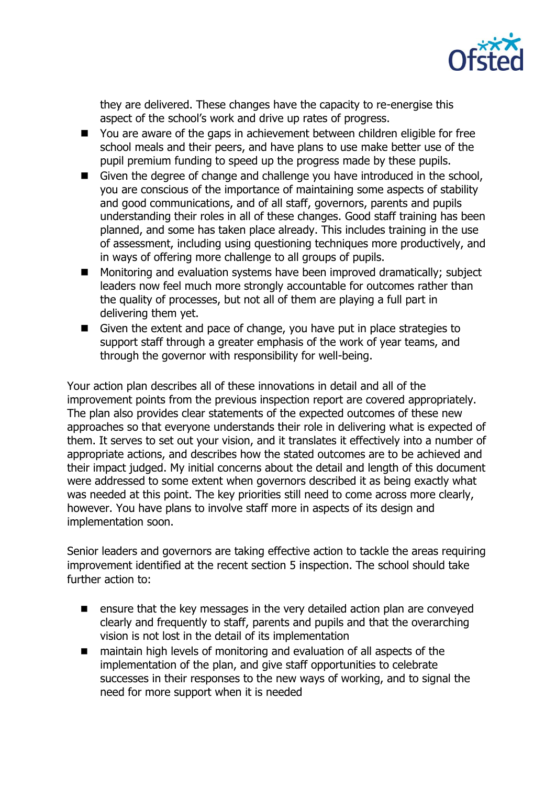

they are delivered. These changes have the capacity to re-energise this aspect of the school's work and drive up rates of progress.

- You are aware of the gaps in achievement between children eligible for free school meals and their peers, and have plans to use make better use of the pupil premium funding to speed up the progress made by these pupils.
- Given the degree of change and challenge you have introduced in the school, you are conscious of the importance of maintaining some aspects of stability and good communications, and of all staff, governors, parents and pupils understanding their roles in all of these changes. Good staff training has been planned, and some has taken place already. This includes training in the use of assessment, including using questioning techniques more productively, and in ways of offering more challenge to all groups of pupils.
- Monitoring and evaluation systems have been improved dramatically; subject leaders now feel much more strongly accountable for outcomes rather than the quality of processes, but not all of them are playing a full part in delivering them yet.
- Given the extent and pace of change, you have put in place strategies to support staff through a greater emphasis of the work of year teams, and through the governor with responsibility for well-being.

Your action plan describes all of these innovations in detail and all of the improvement points from the previous inspection report are covered appropriately. The plan also provides clear statements of the expected outcomes of these new approaches so that everyone understands their role in delivering what is expected of them. It serves to set out your vision, and it translates it effectively into a number of appropriate actions, and describes how the stated outcomes are to be achieved and their impact judged. My initial concerns about the detail and length of this document were addressed to some extent when governors described it as being exactly what was needed at this point. The key priorities still need to come across more clearly, however. You have plans to involve staff more in aspects of its design and implementation soon.

Senior leaders and governors are taking effective action to tackle the areas requiring improvement identified at the recent section 5 inspection. The school should take further action to:

- **E** ensure that the key messages in the very detailed action plan are conveyed clearly and frequently to staff, parents and pupils and that the overarching vision is not lost in the detail of its implementation
- maintain high levels of monitoring and evaluation of all aspects of the implementation of the plan, and give staff opportunities to celebrate successes in their responses to the new ways of working, and to signal the need for more support when it is needed